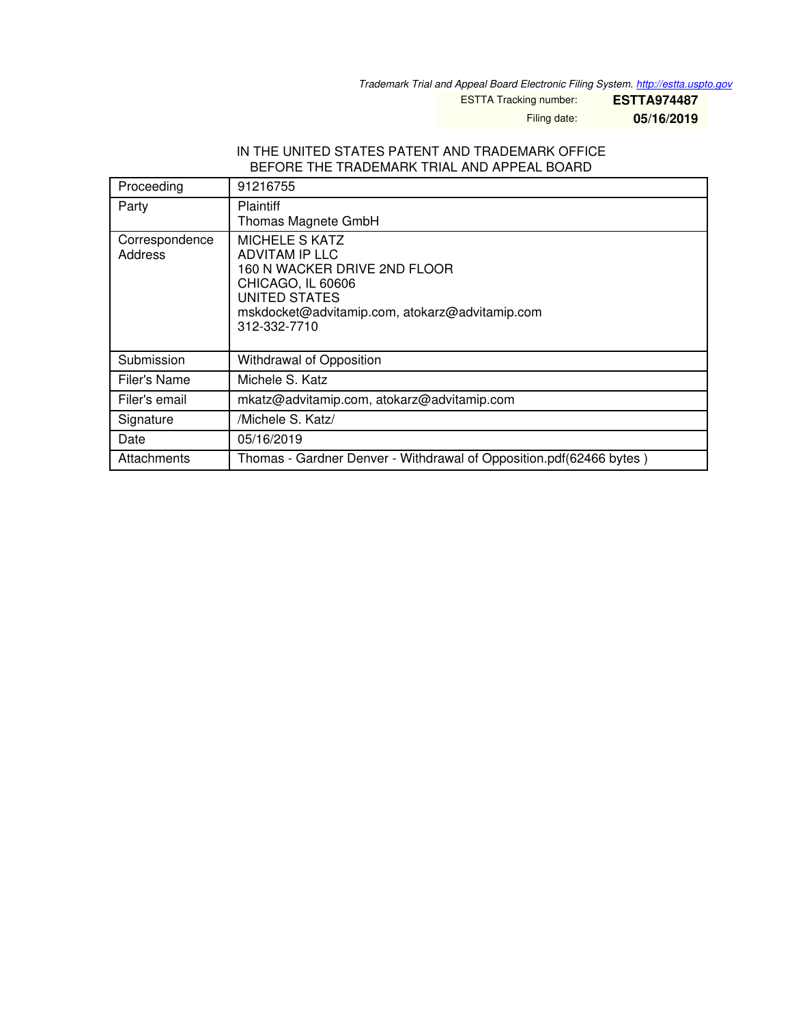*Trademark Trial and Appeal Board Electronic Filing System. <http://estta.uspto.gov>*

ESTTA Tracking number: **ESTTA974487**

Filing date: **05/16/2019**

## IN THE UNITED STATES PATENT AND TRADEMARK OFFICE BEFORE THE TRADEMARK TRIAL AND APPEAL BOARD

| Proceeding                | 91216755                                                                                                                                                                        |
|---------------------------|---------------------------------------------------------------------------------------------------------------------------------------------------------------------------------|
| Party                     | <b>Plaintiff</b><br>Thomas Magnete GmbH                                                                                                                                         |
| Correspondence<br>Address | MICHELE S KATZ<br>ADVITAM IP LLC<br>160 N WACKER DRIVE 2ND FLOOR<br>CHICAGO, IL 60606<br><b>UNITED STATES</b><br>mskdocket@advitamip.com, atokarz@advitamip.com<br>312-332-7710 |
| Submission                | Withdrawal of Opposition                                                                                                                                                        |
| Filer's Name              | Michele S. Katz                                                                                                                                                                 |
| Filer's email             | mkatz@advitamip.com, atokarz@advitamip.com                                                                                                                                      |
| Signature                 | /Michele S. Katz/                                                                                                                                                               |
| Date                      | 05/16/2019                                                                                                                                                                      |
| Attachments               | Thomas - Gardner Denver - Withdrawal of Opposition.pdf(62466 bytes)                                                                                                             |